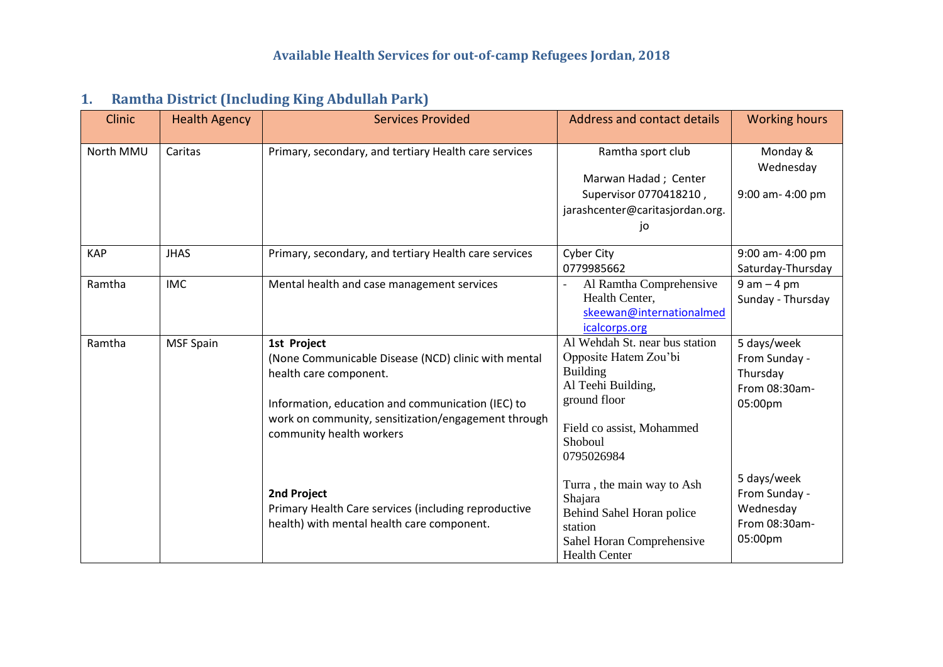| 1. |  |  |  |  | <b>Ramtha District (Including King Abdullah Park)</b> |  |
|----|--|--|--|--|-------------------------------------------------------|--|
|----|--|--|--|--|-------------------------------------------------------|--|

| <b>Clinic</b> | <b>Health Agency</b> | <b>Services Provided</b>                                                                                                                                                                                                             | <b>Address and contact details</b>                                                                                                                                     | <b>Working hours</b>                                                  |
|---------------|----------------------|--------------------------------------------------------------------------------------------------------------------------------------------------------------------------------------------------------------------------------------|------------------------------------------------------------------------------------------------------------------------------------------------------------------------|-----------------------------------------------------------------------|
| North MMU     | Caritas              | Primary, secondary, and tertiary Health care services                                                                                                                                                                                | Ramtha sport club<br>Marwan Hadad; Center<br>Supervisor 0770418210,<br>jarashcenter@caritasjordan.org.<br>jo                                                           | Monday &<br>Wednesday<br>9:00 am-4:00 pm                              |
| <b>KAP</b>    | <b>JHAS</b>          | Primary, secondary, and tertiary Health care services                                                                                                                                                                                | <b>Cyber City</b><br>0779985662                                                                                                                                        | 9:00 am- 4:00 pm<br>Saturday-Thursday                                 |
| Ramtha        | <b>IMC</b>           | Mental health and case management services                                                                                                                                                                                           | Al Ramtha Comprehensive<br>Health Center,<br>skeewan@internationalmed<br>icalcorps.org                                                                                 | $9 am - 4 pm$<br>Sunday - Thursday                                    |
| Ramtha        | <b>MSF Spain</b>     | 1st Project<br>(None Communicable Disease (NCD) clinic with mental<br>health care component.<br>Information, education and communication (IEC) to<br>work on community, sensitization/engagement through<br>community health workers | Al Wehdah St. near bus station<br>Opposite Hatem Zou'bi<br><b>Building</b><br>Al Teehi Building,<br>ground floor<br>Field co assist, Mohammed<br>Shoboul<br>0795026984 | 5 days/week<br>From Sunday -<br>Thursday<br>From 08:30am-<br>05:00pm  |
|               |                      | 2nd Project<br>Primary Health Care services (including reproductive<br>health) with mental health care component.                                                                                                                    | Turra, the main way to Ash<br>Shajara<br>Behind Sahel Horan police<br>station<br>Sahel Horan Comprehensive<br><b>Health Center</b>                                     | 5 days/week<br>From Sunday -<br>Wednesday<br>From 08:30am-<br>05:00pm |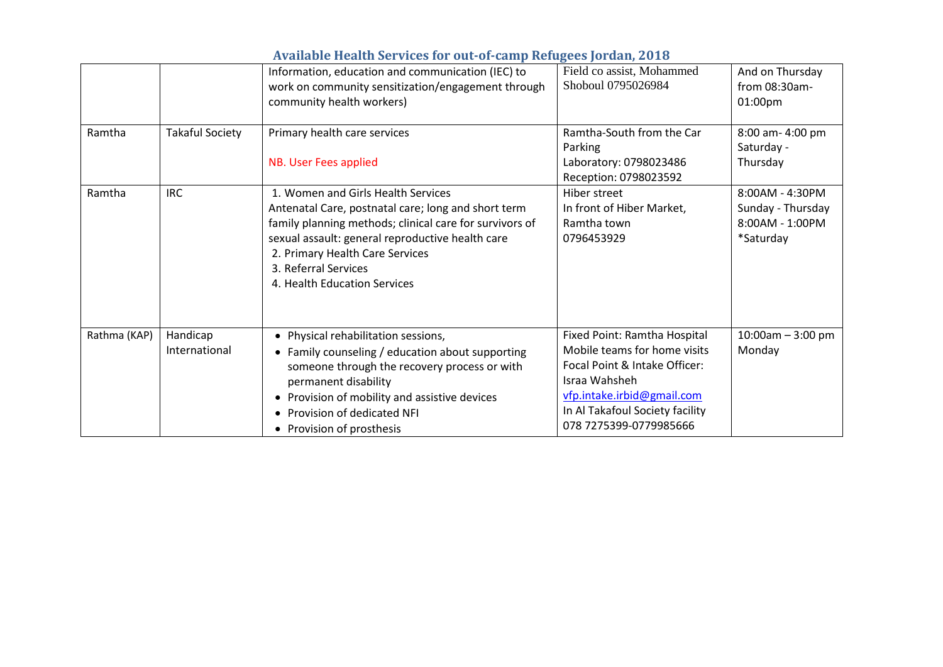|              |                           | Information, education and communication (IEC) to<br>work on community sensitization/engagement through<br>community health workers)                                                                                                                                                                           | Field co assist, Mohammed<br>Shoboul 0795026984                                                                                                                                                           | And on Thursday<br>from $08:30$ am-<br>01:00pm                       |
|--------------|---------------------------|----------------------------------------------------------------------------------------------------------------------------------------------------------------------------------------------------------------------------------------------------------------------------------------------------------------|-----------------------------------------------------------------------------------------------------------------------------------------------------------------------------------------------------------|----------------------------------------------------------------------|
| Ramtha       | <b>Takaful Society</b>    | Primary health care services<br>NB. User Fees applied                                                                                                                                                                                                                                                          | Ramtha-South from the Car<br>Parking<br>Laboratory: 0798023486<br>Reception: 0798023592                                                                                                                   | 8:00 am-4:00 pm<br>Saturday -<br>Thursday                            |
| Ramtha       | <b>IRC</b>                | 1. Women and Girls Health Services<br>Antenatal Care, postnatal care; long and short term<br>family planning methods; clinical care for survivors of<br>sexual assault: general reproductive health care<br>2. Primary Health Care Services<br>3. Referral Services<br>4. Health Education Services            | Hiber street<br>In front of Hiber Market,<br>Ramtha town<br>0796453929                                                                                                                                    | 8:00AM - 4:30PM<br>Sunday - Thursday<br>8:00AM - 1:00PM<br>*Saturday |
| Rathma (KAP) | Handicap<br>International | Physical rehabilitation sessions,<br>$\bullet$<br>• Family counseling / education about supporting<br>someone through the recovery process or with<br>permanent disability<br>Provision of mobility and assistive devices<br>$\bullet$<br>Provision of dedicated NFI<br>$\bullet$<br>• Provision of prosthesis | Fixed Point: Ramtha Hospital<br>Mobile teams for home visits<br>Focal Point & Intake Officer:<br>Israa Wahsheh<br>vfp.intake.irbid@gmail.com<br>In Al Takafoul Society facility<br>078 7275399-0779985666 | $10:00$ am - 3:00 pm<br>Monday                                       |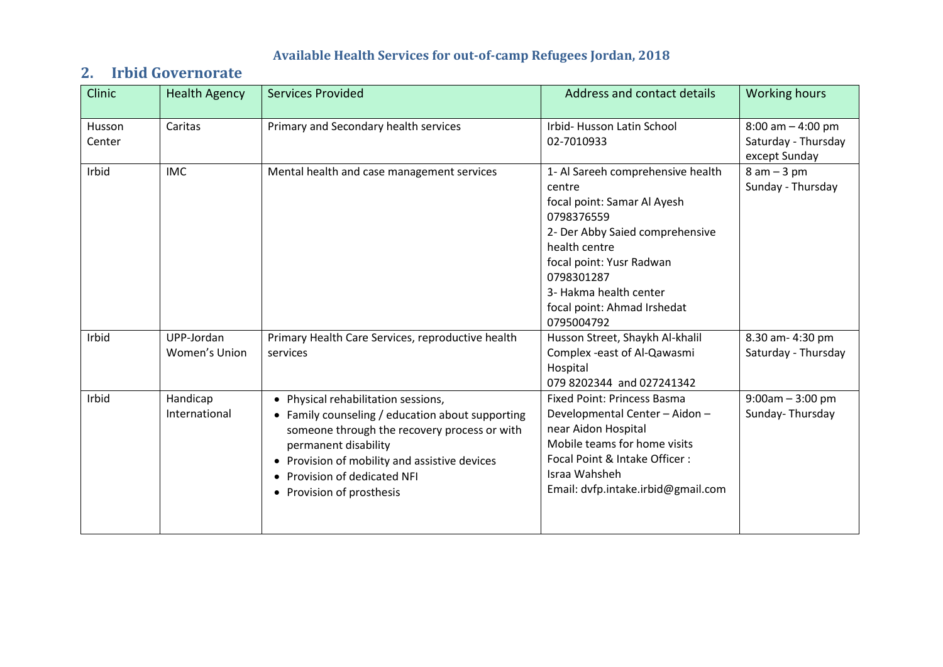# **2. Irbid Governorate**

| Clinic                  | <b>Health Agency</b>        | <b>Services Provided</b>                                                                                                                                                                                                                                                      | Address and contact details                                                                                                                                                                                                                                   | <b>Working hours</b>                                         |
|-------------------------|-----------------------------|-------------------------------------------------------------------------------------------------------------------------------------------------------------------------------------------------------------------------------------------------------------------------------|---------------------------------------------------------------------------------------------------------------------------------------------------------------------------------------------------------------------------------------------------------------|--------------------------------------------------------------|
| <b>Husson</b><br>Center | Caritas                     | Primary and Secondary health services                                                                                                                                                                                                                                         | Irbid-Husson Latin School<br>02-7010933                                                                                                                                                                                                                       | $8:00$ am $-4:00$ pm<br>Saturday - Thursday<br>except Sunday |
| Irbid                   | <b>IMC</b>                  | Mental health and case management services                                                                                                                                                                                                                                    | 1- Al Sareeh comprehensive health<br>centre<br>focal point: Samar Al Ayesh<br>0798376559<br>2- Der Abby Saied comprehensive<br>health centre<br>focal point: Yusr Radwan<br>0798301287<br>3- Hakma health center<br>focal point: Ahmad Irshedat<br>0795004792 | $8 am - 3 pm$<br>Sunday - Thursday                           |
| Irbid                   | UPP-Jordan<br>Women's Union | Primary Health Care Services, reproductive health<br>services                                                                                                                                                                                                                 | Husson Street, Shaykh Al-khalil<br>Complex -east of Al-Qawasmi<br>Hospital<br>079 8202344 and 027241342                                                                                                                                                       | 8.30 am- 4:30 pm<br>Saturday - Thursday                      |
| Irbid                   | Handicap<br>International   | • Physical rehabilitation sessions,<br>• Family counseling / education about supporting<br>someone through the recovery process or with<br>permanent disability<br>• Provision of mobility and assistive devices<br>• Provision of dedicated NFI<br>• Provision of prosthesis | <b>Fixed Point: Princess Basma</b><br>Developmental Center - Aidon -<br>near Aidon Hospital<br>Mobile teams for home visits<br>Focal Point & Intake Officer:<br>Israa Wahsheh<br>Email: dvfp.intake.irbid@gmail.com                                           | $9:00am - 3:00 pm$<br>Sunday-Thursday                        |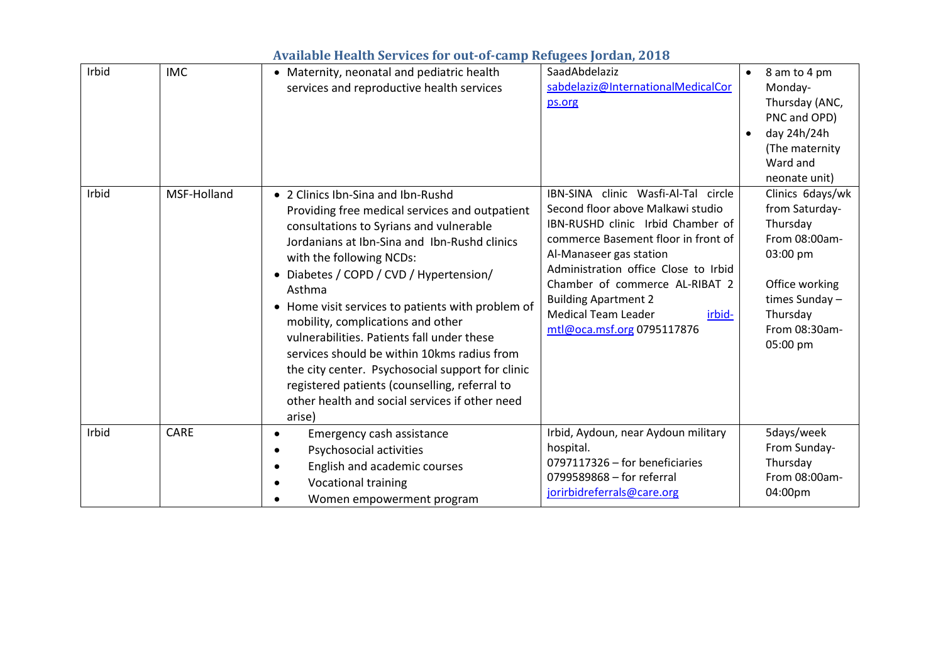| <b>Available Health Services for out-of-camp Refugees Jordan, 2018</b> |  |  |  |
|------------------------------------------------------------------------|--|--|--|
|                                                                        |  |  |  |

| Irbid | <b>IMC</b>  | • Maternity, neonatal and pediatric health<br>services and reproductive health services                                                                                                                                                                                                                                                                                                                                                                                                                                                                                                                              | SaadAbdelaziz<br>sabdelaziz@InternationalMedicalCor<br>ps.org                                                                                                                                                                                                                                                                                                  | 8 am to 4 pm<br>Monday-<br>Thursday (ANC,<br>PNC and OPD)<br>day 24h/24h<br>(The maternity<br>Ward and<br>neonate unit)                                 |
|-------|-------------|----------------------------------------------------------------------------------------------------------------------------------------------------------------------------------------------------------------------------------------------------------------------------------------------------------------------------------------------------------------------------------------------------------------------------------------------------------------------------------------------------------------------------------------------------------------------------------------------------------------------|----------------------------------------------------------------------------------------------------------------------------------------------------------------------------------------------------------------------------------------------------------------------------------------------------------------------------------------------------------------|---------------------------------------------------------------------------------------------------------------------------------------------------------|
| Irbid | MSF-Holland | • 2 Clinics Ibn-Sina and Ibn-Rushd<br>Providing free medical services and outpatient<br>consultations to Syrians and vulnerable<br>Jordanians at Ibn-Sina and Ibn-Rushd clinics<br>with the following NCDs:<br>Diabetes / COPD / CVD / Hypertension/<br>Asthma<br>Home visit services to patients with problem of<br>mobility, complications and other<br>vulnerabilities. Patients fall under these<br>services should be within 10kms radius from<br>the city center. Psychosocial support for clinic<br>registered patients (counselling, referral to<br>other health and social services if other need<br>arise) | IBN-SINA clinic Wasfi-Al-Tal circle<br>Second floor above Malkawi studio<br>IBN-RUSHD clinic Irbid Chamber of<br>commerce Basement floor in front of<br>Al-Manaseer gas station<br>Administration office Close to Irbid<br>Chamber of commerce AL-RIBAT 2<br><b>Building Apartment 2</b><br><b>Medical Team Leader</b><br>irbid-<br>mtl@oca.msf.org 0795117876 | Clinics 6days/wk<br>from Saturday-<br>Thursday<br>From 08:00am-<br>03:00 pm<br>Office working<br>times Sunday-<br>Thursday<br>From 08:30am-<br>05:00 pm |
| Irbid | <b>CARE</b> | Emergency cash assistance<br>$\bullet$<br>Psychosocial activities<br>English and academic courses<br><b>Vocational training</b><br>Women empowerment program                                                                                                                                                                                                                                                                                                                                                                                                                                                         | Irbid, Aydoun, near Aydoun military<br>hospital.<br>0797117326 - for beneficiaries<br>0799589868 - for referral<br>jorirbidreferrals@care.org                                                                                                                                                                                                                  | 5days/week<br>From Sunday-<br>Thursday<br>From 08:00am-<br>04:00pm                                                                                      |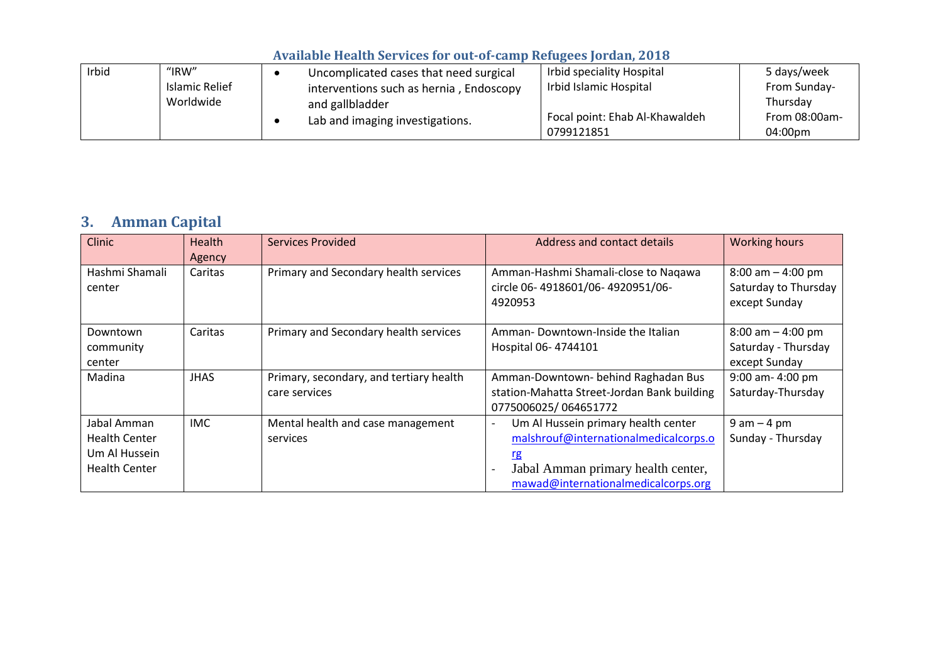| Irbid | " $IRW"$              | Uncomplicated cases that need surgical  | Irbid speciality Hospital      | 5 days/week   |
|-------|-----------------------|-----------------------------------------|--------------------------------|---------------|
|       | <b>Islamic Relief</b> | interventions such as hernia, Endoscopy | Irbid Islamic Hospital         | From Sunday-  |
|       | Worldwide             | and gallbladder                         |                                | Thursdav      |
|       |                       | Lab and imaging investigations.         | Focal point: Ehab Al-Khawaldeh | From 08:00am- |
|       |                       |                                         | 0799121851                     | 04:00pm       |

# **3. Amman Capital**

| <b>Clinic</b>                                                                | <b>Health</b><br>Agency | Services Provided                                        | Address and contact details                                                                                                                                                                                                    | <b>Working hours</b>                                          |
|------------------------------------------------------------------------------|-------------------------|----------------------------------------------------------|--------------------------------------------------------------------------------------------------------------------------------------------------------------------------------------------------------------------------------|---------------------------------------------------------------|
| Hashmi Shamali<br>center                                                     | Caritas                 | Primary and Secondary health services                    | Amman-Hashmi Shamali-close to Nagawa<br>circle 06-4918601/06-4920951/06-<br>4920953                                                                                                                                            | $8:00$ am $-4:00$ pm<br>Saturday to Thursday<br>except Sunday |
| Downtown<br>community<br>center                                              | Caritas                 | Primary and Secondary health services                    | Amman-Downtown-Inside the Italian<br>Hospital 06-4744101                                                                                                                                                                       | $8:00$ am $-4:00$ pm<br>Saturday - Thursday<br>except Sunday  |
| Madina                                                                       | <b>JHAS</b>             | Primary, secondary, and tertiary health<br>care services | Amman-Downtown- behind Raghadan Bus<br>station-Mahatta Street-Jordan Bank building<br>0775006025/064651772                                                                                                                     | 9:00 am-4:00 pm<br>Saturday-Thursday                          |
| Jabal Amman<br><b>Health Center</b><br>Um Al Hussein<br><b>Health Center</b> | <b>IMC</b>              | Mental health and case management<br>services            | Um Al Hussein primary health center<br>$\overline{\phantom{a}}$<br>malshrouf@internationalmedicalcorps.o<br><u>rg</u><br>Jabal Amman primary health center,<br>$\overline{\phantom{a}}$<br>mawad@internationalmedicalcorps.org | $9$ am $-4$ pm<br>Sunday - Thursday                           |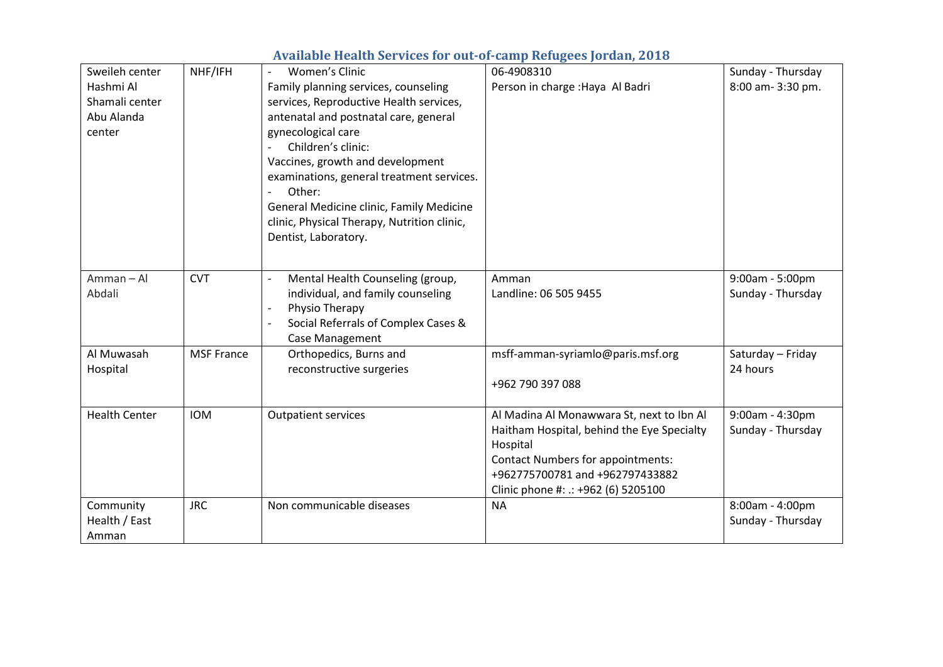| Sweileh center       | NHF/IFH           | <b>Women's Clinic</b><br>$\overline{\phantom{a}}$  | 06-4908310                                 | Sunday - Thursday |
|----------------------|-------------------|----------------------------------------------------|--------------------------------------------|-------------------|
| Hashmi Al            |                   | Family planning services, counseling               | Person in charge : Haya Al Badri           | 8:00 am- 3:30 pm. |
| Shamali center       |                   | services, Reproductive Health services,            |                                            |                   |
| Abu Alanda           |                   | antenatal and postnatal care, general              |                                            |                   |
| center               |                   | gynecological care                                 |                                            |                   |
|                      |                   | Children's clinic:                                 |                                            |                   |
|                      |                   | Vaccines, growth and development                   |                                            |                   |
|                      |                   | examinations, general treatment services.          |                                            |                   |
|                      |                   | Other:                                             |                                            |                   |
|                      |                   | General Medicine clinic, Family Medicine           |                                            |                   |
|                      |                   | clinic, Physical Therapy, Nutrition clinic,        |                                            |                   |
|                      |                   | Dentist, Laboratory.                               |                                            |                   |
|                      |                   |                                                    |                                            |                   |
| Amman-Al             | <b>CVT</b>        | Mental Health Counseling (group,<br>$\overline{a}$ | Amman                                      | 9:00am - 5:00pm   |
| Abdali               |                   | individual, and family counseling                  | Landline: 06 505 9455                      | Sunday - Thursday |
|                      |                   | Physio Therapy<br>$\overline{\phantom{a}}$         |                                            |                   |
|                      |                   | Social Referrals of Complex Cases &                |                                            |                   |
|                      |                   | Case Management                                    |                                            |                   |
| Al Muwasah           | <b>MSF France</b> | Orthopedics, Burns and                             | msff-amman-syriamlo@paris.msf.org          | Saturday - Friday |
| Hospital             |                   | reconstructive surgeries                           |                                            | 24 hours          |
|                      |                   |                                                    | +962 790 397 088                           |                   |
| <b>Health Center</b> | <b>IOM</b>        | <b>Outpatient services</b>                         | Al Madina Al Monawwara St, next to Ibn Al  | 9:00am - 4:30pm   |
|                      |                   |                                                    | Haitham Hospital, behind the Eye Specialty | Sunday - Thursday |
|                      |                   |                                                    | Hospital                                   |                   |
|                      |                   |                                                    | <b>Contact Numbers for appointments:</b>   |                   |
|                      |                   |                                                    | +962775700781 and +962797433882            |                   |
|                      |                   |                                                    | Clinic phone #: .: +962 (6) 5205100        |                   |
| Community            | <b>JRC</b>        | Non communicable diseases                          | <b>NA</b>                                  | 8:00am - 4:00pm   |
| Health / East        |                   |                                                    |                                            | Sunday - Thursday |
| Amman                |                   |                                                    |                                            |                   |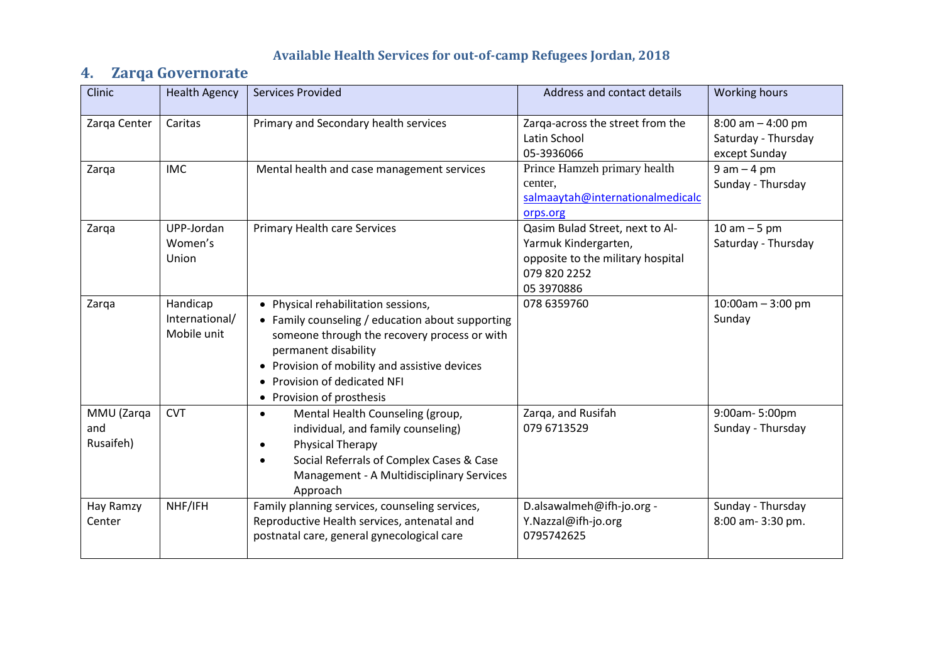## **4. Zarqa Governorate**

| <b>Clinic</b>                  | <b>Health Agency</b>                      | <b>Services Provided</b>                                                                                                                                                                                                                                                    | Address and contact details                                                                                                | <b>Working hours</b>                                         |
|--------------------------------|-------------------------------------------|-----------------------------------------------------------------------------------------------------------------------------------------------------------------------------------------------------------------------------------------------------------------------------|----------------------------------------------------------------------------------------------------------------------------|--------------------------------------------------------------|
| Zarqa Center                   | Caritas                                   | Primary and Secondary health services                                                                                                                                                                                                                                       | Zarqa-across the street from the<br>Latin School<br>05-3936066                                                             | $8:00$ am $-4:00$ pm<br>Saturday - Thursday<br>except Sunday |
| Zarqa                          | <b>IMC</b>                                | Mental health and case management services                                                                                                                                                                                                                                  | Prince Hamzeh primary health<br>center,<br>salmaaytah@internationalmedicalc<br>orps.org                                    | $9 am - 4 pm$<br>Sunday - Thursday                           |
| Zarqa                          | UPP-Jordan<br>Women's<br>Union            | <b>Primary Health care Services</b>                                                                                                                                                                                                                                         | Qasim Bulad Street, next to Al-<br>Yarmuk Kindergarten,<br>opposite to the military hospital<br>079 820 2252<br>05 3970886 | $10$ am $-5$ pm<br>Saturday - Thursday                       |
| Zarqa                          | Handicap<br>International/<br>Mobile unit | • Physical rehabilitation sessions,<br>• Family counseling / education about supporting<br>someone through the recovery process or with<br>permanent disability<br>• Provision of mobility and assistive devices<br>Provision of dedicated NFI<br>• Provision of prosthesis | 078 6359760                                                                                                                | $10:00am - 3:00 pm$<br>Sunday                                |
| MMU (Zarqa<br>and<br>Rusaifeh) | <b>CVT</b>                                | Mental Health Counseling (group,<br>$\bullet$<br>individual, and family counseling)<br>Physical Therapy<br>$\bullet$<br>Social Referrals of Complex Cases & Case<br>$\bullet$<br>Management - A Multidisciplinary Services<br>Approach                                      | Zarga, and Rusifah<br>079 6713529                                                                                          | 9:00am-5:00pm<br>Sunday - Thursday                           |
| Hay Ramzy<br>Center            | NHF/IFH                                   | Family planning services, counseling services,<br>Reproductive Health services, antenatal and<br>postnatal care, general gynecological care                                                                                                                                 | D.alsawalmeh@ifh-jo.org -<br>Y.Nazzal@ifh-jo.org<br>0795742625                                                             | Sunday - Thursday<br>8:00 am- 3:30 pm.                       |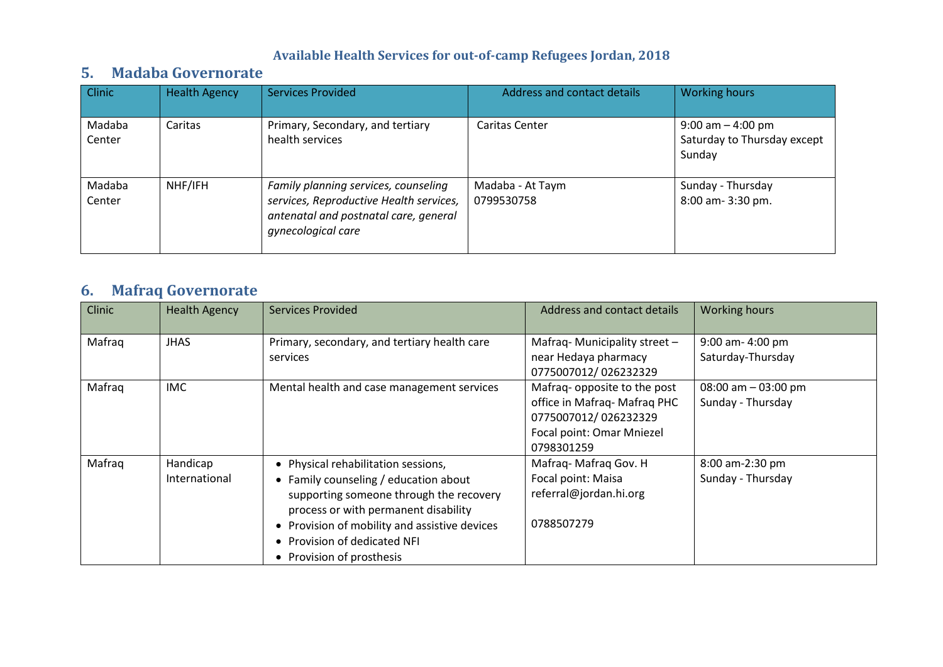### **5. Madaba Governorate**

| Clinic           | <b>Health Agency</b> | <b>Services Provided</b>                                                                                                                       | Address and contact details    | <b>Working hours</b>                                          |
|------------------|----------------------|------------------------------------------------------------------------------------------------------------------------------------------------|--------------------------------|---------------------------------------------------------------|
| Madaba<br>Center | Caritas              | Primary, Secondary, and tertiary<br>health services                                                                                            | <b>Caritas Center</b>          | $9:00$ am $-4:00$ pm<br>Saturday to Thursday except<br>Sunday |
| Madaba<br>Center | NHF/IFH              | Family planning services, counseling<br>services, Reproductive Health services,<br>antenatal and postnatal care, general<br>gynecological care | Madaba - At Taym<br>0799530758 | Sunday - Thursday<br>8:00 am- 3:30 pm.                        |

# **6. Mafraq Governorate**

| Clinic | <b>Health Agency</b>      | <b>Services Provided</b>                                                                                                                                                                                                                                                      | Address and contact details                                                                                                    | <b>Working hours</b>                        |
|--------|---------------------------|-------------------------------------------------------------------------------------------------------------------------------------------------------------------------------------------------------------------------------------------------------------------------------|--------------------------------------------------------------------------------------------------------------------------------|---------------------------------------------|
| Mafraq | <b>JHAS</b>               | Primary, secondary, and tertiary health care<br>services                                                                                                                                                                                                                      | Mafraq-Municipality street -<br>near Hedaya pharmacy<br>0775007012/026232329                                                   | 9:00 am- 4:00 pm<br>Saturday-Thursday       |
| Mafrag | <b>IMC</b>                | Mental health and case management services                                                                                                                                                                                                                                    | Mafraq- opposite to the post<br>office in Mafraq-Mafraq PHC<br>0775007012/026232329<br>Focal point: Omar Mniezel<br>0798301259 | $08:00$ am $-03:00$ pm<br>Sunday - Thursday |
| Mafraq | Handicap<br>International | • Physical rehabilitation sessions,<br>• Family counseling / education about<br>supporting someone through the recovery<br>process or with permanent disability<br>• Provision of mobility and assistive devices<br>• Provision of dedicated NFI<br>• Provision of prosthesis | Mafraq-Mafraq Gov. H<br>Focal point: Maisa<br>referral@jordan.hi.org<br>0788507279                                             | 8:00 am-2:30 pm<br>Sunday - Thursday        |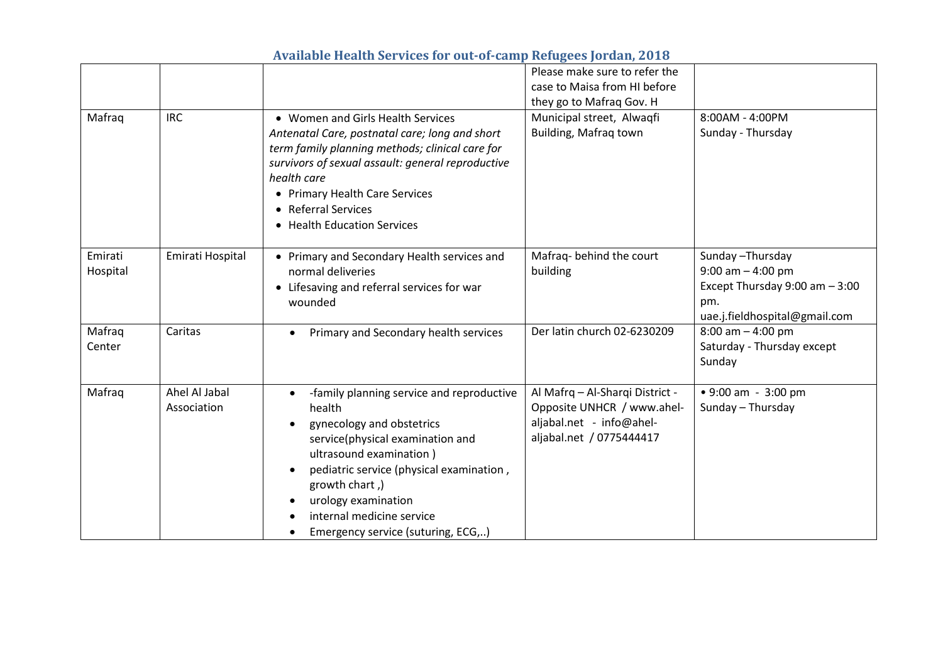|                     |                              |                                                                                                                                                                                                                                                                                                         | Please make sure to refer the<br>case to Maisa from HI before<br>they go to Mafraq Gov. H                             |                                                                                                                      |
|---------------------|------------------------------|---------------------------------------------------------------------------------------------------------------------------------------------------------------------------------------------------------------------------------------------------------------------------------------------------------|-----------------------------------------------------------------------------------------------------------------------|----------------------------------------------------------------------------------------------------------------------|
| Mafraq              | <b>IRC</b>                   | • Women and Girls Health Services<br>Antenatal Care, postnatal care; long and short<br>term family planning methods; clinical care for<br>survivors of sexual assault: general reproductive<br>health care<br>• Primary Health Care Services<br>• Referral Services<br>• Health Education Services      | Municipal street, Alwaqfi<br>Building, Mafraq town                                                                    | 8:00AM - 4:00PM<br>Sunday - Thursday                                                                                 |
| Emirati<br>Hospital | Emirati Hospital             | • Primary and Secondary Health services and<br>normal deliveries<br>• Lifesaving and referral services for war<br>wounded                                                                                                                                                                               | Mafraq-behind the court<br>building                                                                                   | Sunday-Thursday<br>$9:00$ am $-4:00$ pm<br>Except Thursday $9:00$ am $-3:00$<br>pm.<br>uae.j.fieldhospital@gmail.com |
| Mafraq<br>Center    | Caritas                      | Primary and Secondary health services                                                                                                                                                                                                                                                                   | Der latin church 02-6230209                                                                                           | $8:00$ am $-4:00$ pm<br>Saturday - Thursday except<br>Sunday                                                         |
| Mafraq              | Ahel Al Jabal<br>Association | -family planning service and reproductive<br>health<br>gynecology and obstetrics<br>service(physical examination and<br>ultrasound examination)<br>pediatric service (physical examination,<br>growth chart,)<br>urology examination<br>internal medicine service<br>Emergency service (suturing, ECG,) | Al Mafrq - Al-Sharqi District -<br>Opposite UNHCR / www.ahel-<br>aljabal.net - info@ahel-<br>aljabal.net / 0775444417 | • 9:00 am - 3:00 pm<br>Sunday - Thursday                                                                             |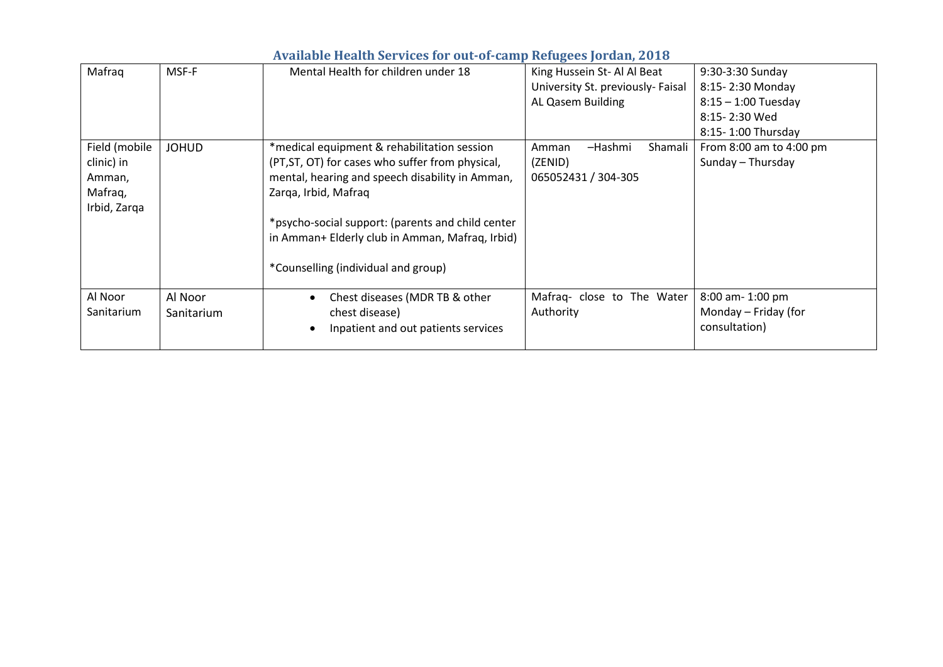|               | $\frac{1}{2}$ $\frac{1}{2}$ $\frac{1}{2}$ $\frac{1}{2}$ $\frac{1}{2}$ $\frac{1}{2}$ $\frac{1}{2}$ $\frac{1}{2}$ $\frac{1}{2}$ $\frac{1}{2}$ $\frac{1}{2}$ $\frac{1}{2}$ $\frac{1}{2}$ $\frac{1}{2}$ $\frac{1}{2}$ $\frac{1}{2}$ $\frac{1}{2}$ $\frac{1}{2}$ $\frac{1}{2}$ $\frac{1}{2}$ $\frac{1}{2}$ $\frac{1}{2}$ |                                                   |                                   |                         |  |  |
|---------------|---------------------------------------------------------------------------------------------------------------------------------------------------------------------------------------------------------------------------------------------------------------------------------------------------------------------|---------------------------------------------------|-----------------------------------|-------------------------|--|--|
| Mafraq        | MSF-F                                                                                                                                                                                                                                                                                                               | Mental Health for children under 18               | King Hussein St- Al Al Beat       | 9:30-3:30 Sunday        |  |  |
|               |                                                                                                                                                                                                                                                                                                                     |                                                   | University St. previously- Faisal | 8:15-2:30 Monday        |  |  |
|               |                                                                                                                                                                                                                                                                                                                     |                                                   | AL Qasem Building                 | $8:15 - 1:00$ Tuesday   |  |  |
|               |                                                                                                                                                                                                                                                                                                                     |                                                   |                                   | 8:15-2:30 Wed           |  |  |
|               |                                                                                                                                                                                                                                                                                                                     |                                                   |                                   | 8:15-1:00 Thursday      |  |  |
| Field (mobile | <b>JOHUD</b>                                                                                                                                                                                                                                                                                                        | *medical equipment & rehabilitation session       | Shamali<br>-Hashmi<br>Amman       | From 8:00 am to 4:00 pm |  |  |
| clinic) in    |                                                                                                                                                                                                                                                                                                                     | (PT, ST, OT) for cases who suffer from physical,  | (ZENID)                           | Sunday - Thursday       |  |  |
| Amman,        |                                                                                                                                                                                                                                                                                                                     | mental, hearing and speech disability in Amman,   | 065052431 / 304-305               |                         |  |  |
| Mafrag,       |                                                                                                                                                                                                                                                                                                                     | Zarga, Irbid, Mafrag                              |                                   |                         |  |  |
| Irbid, Zarqa  |                                                                                                                                                                                                                                                                                                                     |                                                   |                                   |                         |  |  |
|               |                                                                                                                                                                                                                                                                                                                     | *psycho-social support: (parents and child center |                                   |                         |  |  |
|               |                                                                                                                                                                                                                                                                                                                     | in Amman+ Elderly club in Amman, Mafraq, Irbid)   |                                   |                         |  |  |
|               |                                                                                                                                                                                                                                                                                                                     |                                                   |                                   |                         |  |  |
|               |                                                                                                                                                                                                                                                                                                                     | *Counselling (individual and group)               |                                   |                         |  |  |
|               |                                                                                                                                                                                                                                                                                                                     |                                                   |                                   |                         |  |  |
| Al Noor       | Al Noor                                                                                                                                                                                                                                                                                                             | Chest diseases (MDR TB & other                    | Mafraq- close to The Water        | 8:00 am-1:00 pm         |  |  |
| Sanitarium    | Sanitarium                                                                                                                                                                                                                                                                                                          | chest disease)                                    | Authority                         | Monday - Friday (for    |  |  |
|               |                                                                                                                                                                                                                                                                                                                     | Inpatient and out patients services               |                                   | consultation)           |  |  |
|               |                                                                                                                                                                                                                                                                                                                     |                                                   |                                   |                         |  |  |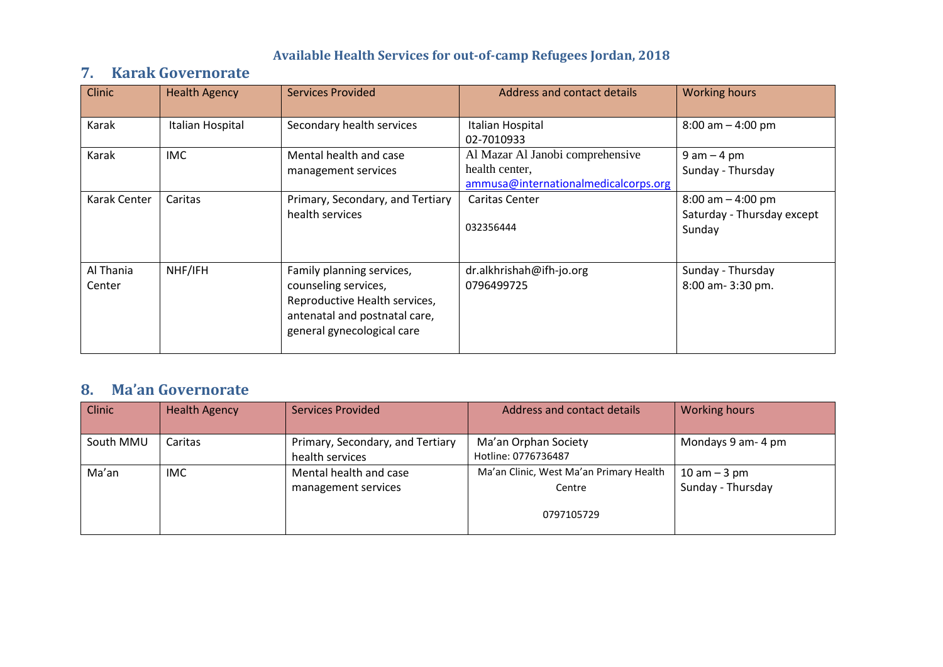# **7. Karak Governorate**

| <b>Clinic</b>       | <b>Health Agency</b> | <b>Services Provided</b>                                                                                                                          | Address and contact details                                                                | <b>Working hours</b>                                          |
|---------------------|----------------------|---------------------------------------------------------------------------------------------------------------------------------------------------|--------------------------------------------------------------------------------------------|---------------------------------------------------------------|
| Karak               | Italian Hospital     | Secondary health services                                                                                                                         | Italian Hospital<br>02-7010933                                                             | $8:00$ am $-$ 4:00 pm                                         |
| Karak               | <b>IMC</b>           | Mental health and case<br>management services                                                                                                     | Al Mazar Al Janobi comprehensive<br>health center,<br>ammusa@internationalmedicalcorps.org | $9$ am $-$ 4 pm<br>Sunday - Thursday                          |
| Karak Center        | Caritas              | Primary, Secondary, and Tertiary<br>health services                                                                                               | Caritas Center<br>032356444                                                                | $8:00$ am $-$ 4:00 pm<br>Saturday - Thursday except<br>Sunday |
| Al Thania<br>Center | NHF/IFH              | Family planning services,<br>counseling services,<br>Reproductive Health services,<br>antenatal and postnatal care,<br>general gynecological care | dr.alkhrishah@ifh-jo.org<br>0796499725                                                     | Sunday - Thursday<br>8:00 am- 3:30 pm.                        |

## **8. Ma'an Governorate**

| <b>Clinic</b> | <b>Health Agency</b> | <b>Services Provided</b>         | Address and contact details             | <b>Working hours</b> |
|---------------|----------------------|----------------------------------|-----------------------------------------|----------------------|
|               |                      |                                  |                                         |                      |
| South MMU     | Caritas              | Primary, Secondary, and Tertiary | Ma'an Orphan Society                    | Mondays 9 am-4 pm    |
|               |                      | health services                  | Hotline: 0776736487                     |                      |
| Ma'an         | IMC.                 | Mental health and case           | Ma'an Clinic, West Ma'an Primary Health | $10$ am $-3$ pm      |
|               |                      | management services              | Centre                                  | Sunday - Thursday    |
|               |                      |                                  |                                         |                      |
|               |                      |                                  | 0797105729                              |                      |
|               |                      |                                  |                                         |                      |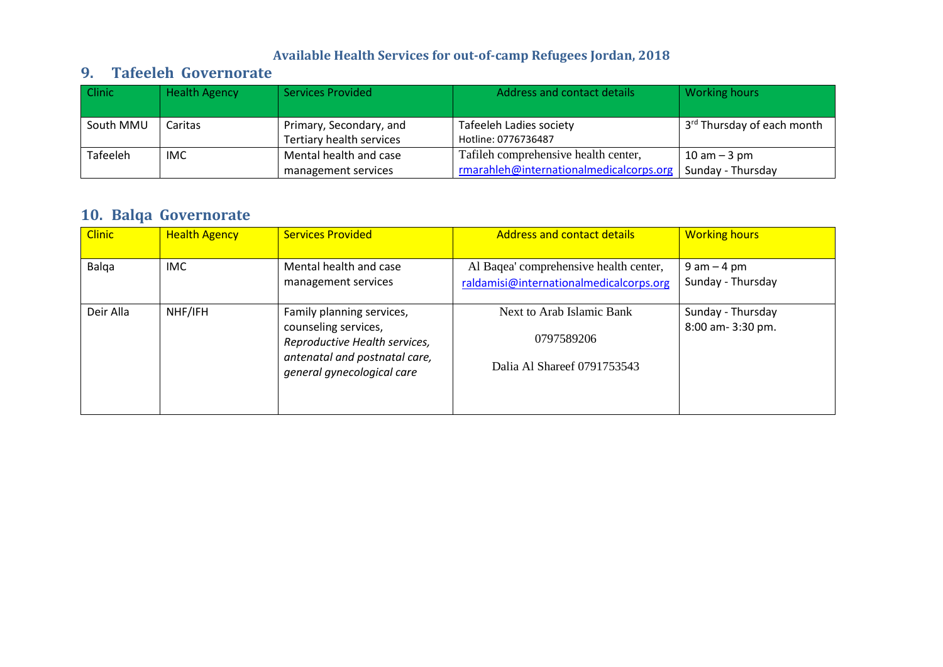### **9. Tafeeleh Governorate**

| Clinic    | <b>Health Agency</b> | <b>Services Provided</b>                            | Address and contact details                           | Working hours                          |
|-----------|----------------------|-----------------------------------------------------|-------------------------------------------------------|----------------------------------------|
| South MMU | Caritas              | Primary, Secondary, and<br>Tertiary health services | <b>Tafeeleh Ladies society</b><br>Hotline: 0776736487 | 3 <sup>rd</sup> Thursday of each month |
| Tafeeleh  | IMC.                 | Mental health and case                              | Tafileh comprehensive health center,                  | $10 \text{ am} - 3 \text{ pm}$         |
|           |                      | management services                                 | rmarahleh@internationalmedicalcorps.org               | Sunday - Thursday                      |

# **10. Balqa Governorate**

| <b>Clinic</b> | <b>Health Agency</b> | <b>Services Provided</b>                                                                                                                          | <b>Address and contact details</b>                                                | <b>Working hours</b>                   |
|---------------|----------------------|---------------------------------------------------------------------------------------------------------------------------------------------------|-----------------------------------------------------------------------------------|----------------------------------------|
| Balga         | <b>IMC</b>           | Mental health and case<br>management services                                                                                                     | Al Baqea' comprehensive health center,<br>raldamisi@internationalmedicalcorps.org | $9$ am $-$ 4 pm<br>Sunday - Thursday   |
| Deir Alla     | NHF/IFH              | Family planning services,<br>counseling services,<br>Reproductive Health services,<br>antenatal and postnatal care,<br>general gynecological care | Next to Arab Islamic Bank<br>0797589206<br>Dalia Al Shareef 0791753543            | Sunday - Thursday<br>8:00 am- 3:30 pm. |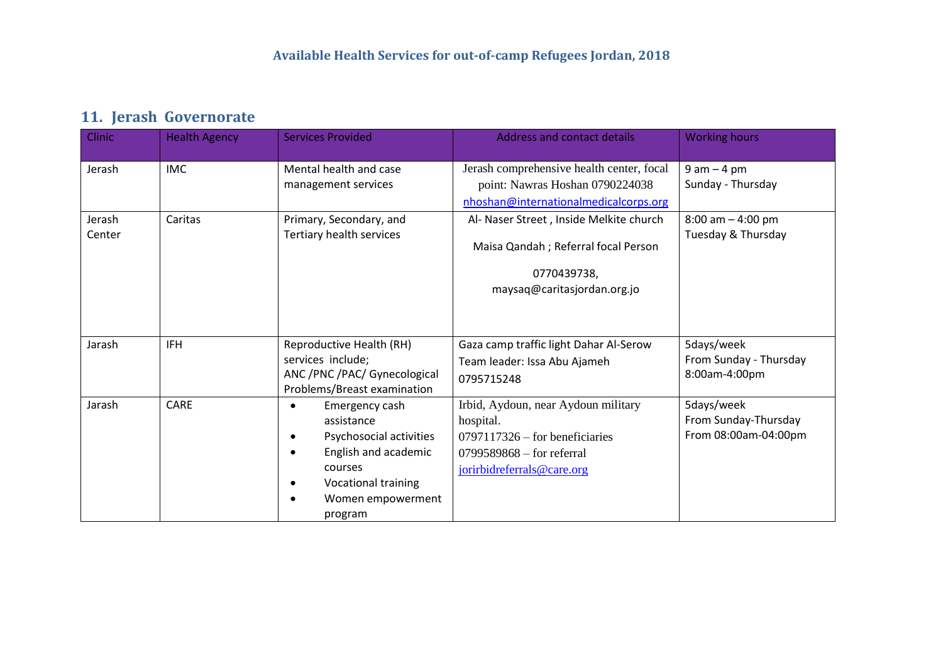# **11. Jerash Governorate**

| Clinic           | <b>Health Agency</b> | <b>Services Provided</b>                                                                                                                                                    | Address and contact details                                                                                                                       | <b>Working hours</b>                                       |
|------------------|----------------------|-----------------------------------------------------------------------------------------------------------------------------------------------------------------------------|---------------------------------------------------------------------------------------------------------------------------------------------------|------------------------------------------------------------|
| Jerash           | <b>IMC</b>           | Mental health and case<br>management services                                                                                                                               | Jerash comprehensive health center, focal<br>point: Nawras Hoshan 0790224038<br>nhoshan@internationalmedicalcorps.org                             | $9$ am $-$ 4 pm<br>Sunday - Thursday                       |
| Jerash<br>Center | Caritas              | Primary, Secondary, and<br>Tertiary health services                                                                                                                         | Al- Naser Street, Inside Melkite church<br>Maisa Qandah ; Referral focal Person<br>0770439738,<br>maysaq@caritasjordan.org.jo                     | $8:00$ am $-4:00$ pm<br>Tuesday & Thursday                 |
| Jarash           | <b>IFH</b>           | Reproductive Health (RH)<br>services include;<br>ANC /PNC /PAC/ Gynecological<br>Problems/Breast examination                                                                | Gaza camp traffic light Dahar Al-Serow<br>Team leader: Issa Abu Ajameh<br>0795715248                                                              | 5days/week<br>From Sunday - Thursday<br>8:00am-4:00pm      |
| Jarash           | <b>CARE</b>          | Emergency cash<br>$\bullet$<br>assistance<br>Psychosocial activities<br>$\bullet$<br>English and academic<br>courses<br>Vocational training<br>Women empowerment<br>program | Irbid, Aydoun, near Aydoun military<br>hospital.<br>$0797117326 -$ for beneficiaries<br>$0799589868 -$ for referral<br>jorirbidreferrals@care.org | 5days/week<br>From Sunday-Thursday<br>From 08:00am-04:00pm |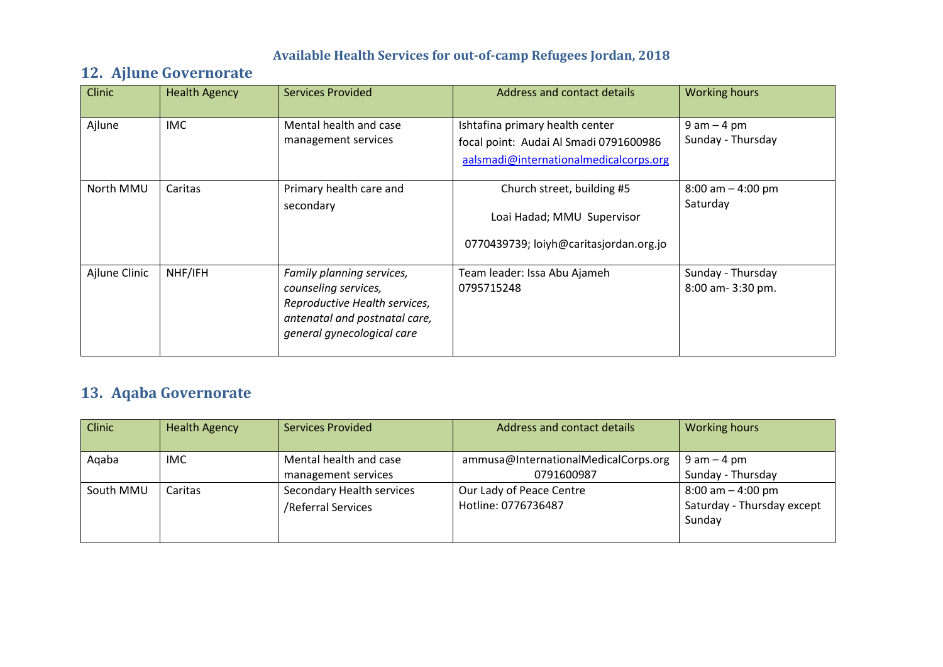## **12. Ajlune Governorate**

| <b>Clinic</b> | <b>Health Agency</b> | <b>Services Provided</b>                                                                                                                          | Address and contact details                                                                                         | <b>Working hours</b>                   |
|---------------|----------------------|---------------------------------------------------------------------------------------------------------------------------------------------------|---------------------------------------------------------------------------------------------------------------------|----------------------------------------|
| Ajlune        | <b>IMC</b>           | Mental health and case<br>management services                                                                                                     | Ishtafina primary health center<br>focal point: Audai Al Smadi 0791600986<br>aalsmadi@internationalmedicalcorps.org | $9$ am $-$ 4 pm<br>Sunday - Thursday   |
| North MMU     | Caritas              | Primary health care and<br>secondary                                                                                                              | Church street, building #5<br>Loai Hadad; MMU Supervisor<br>0770439739; loiyh@caritasjordan.org.jo                  | $8:00$ am $-4:00$ pm<br>Saturday       |
| Ajlune Clinic | NHF/IFH              | Family planning services,<br>counseling services,<br>Reproductive Health services,<br>antenatal and postnatal care,<br>general gynecological care | Team leader: Issa Abu Ajameh<br>0795715248                                                                          | Sunday - Thursday<br>8:00 am- 3:30 pm. |

# **13. Aqaba Governorate**

| <b>Clinic</b> | <b>Health Agency</b> | <b>Services Provided</b>                        | Address and contact details                        | <b>Working hours</b>                                         |
|---------------|----------------------|-------------------------------------------------|----------------------------------------------------|--------------------------------------------------------------|
| Agaba         | IMC.                 | Mental health and case<br>management services   | ammusa@InternationalMedicalCorps.org<br>0791600987 | $9$ am $-$ 4 pm<br>Sunday - Thursday                         |
| South MMU     | Caritas              | Secondary Health services<br>/Referral Services | Our Lady of Peace Centre<br>Hotline: 0776736487    | $8:00$ am $-4:00$ pm<br>Saturday - Thursday except<br>Sunday |